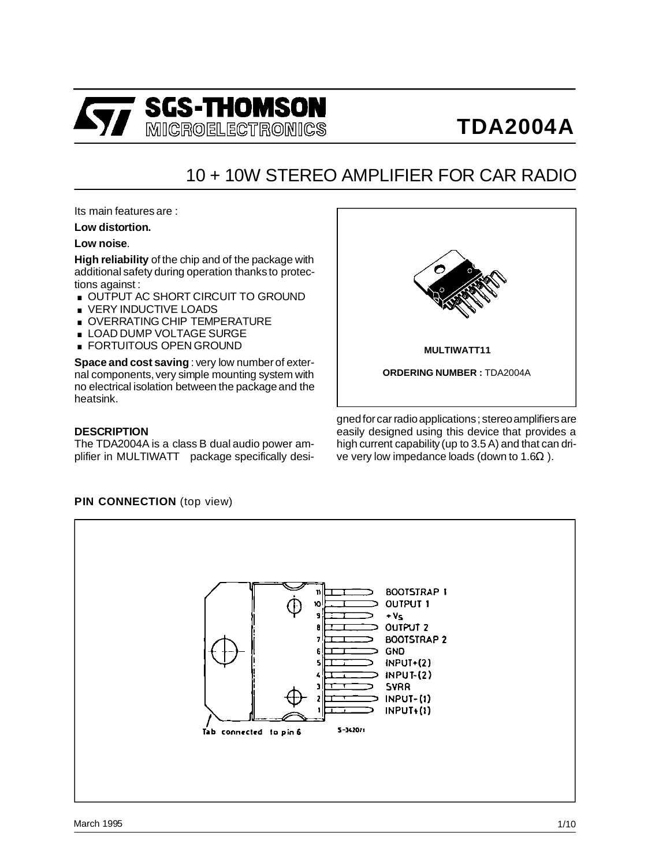

## 10 + 10W STEREO AMPLIFIER FOR CAR RADIO

Its main features are :

### **Low distortion.**

### **Low noise**.

**High reliability** of the chip and of the package with additional safety during operation thanks to protections against : additional safety during operation thanks to prote<br>tions against :<br>■ OUTPUT AC SHORT CIRCUIT TO GROUND

- tions against :<br>■ OUTPUT AC SHORT CIRC<br>■ VERY INDUCTIVE LOADS<br>△ △ VERRATIVE CHIR TEME
- 
- VERY INDUCTIVE LOADS<br>■ OVERRATING CHIP TEMPERATURE
- VERY INDUCTIVE LOADS<br>■ OVERRATING CHIP TEMPERAT<br>■ LOAD DUMP VOLTAGE SURGE<br>FORTLITOUS OPEN CROUND ■ OVERRATING CHIP TEMPERA<br>■ LOAD DUMP VOLTAGE SURGI<br>■ FORTUITOUS OPEN GROUND
- 

**Space and cost saving** : very low number of external components,very simple mounting system with no electrical isolation between the packageand the heatsink.

#### **DESCRIPTION**

The TDA2004A is a class B dual audio power amplifier in MULTIWATT<sup>®</sup> package specifically desi-



gned for car radio applications; stereo amplifiers are easily designed using this device that provides a high current capability (up to 3.5 A) and that can drive very low impedance loads (down to 1.6 $\Omega$ ).

## **BOOTSTRAP 1** n **OUTPUT 1**  $+V<sub>S</sub>$ OUTPUT<sub>2</sub> **BOOTSTRAP 2 GND**  $INPUT+(2)$  $INPUT(2)$ **SVRR**  $INPUT-(1)$  $INPUT+(1)$ Tab connected to pin 6  $5 - 34.2011$

## **PIN CONNECTION** (top view)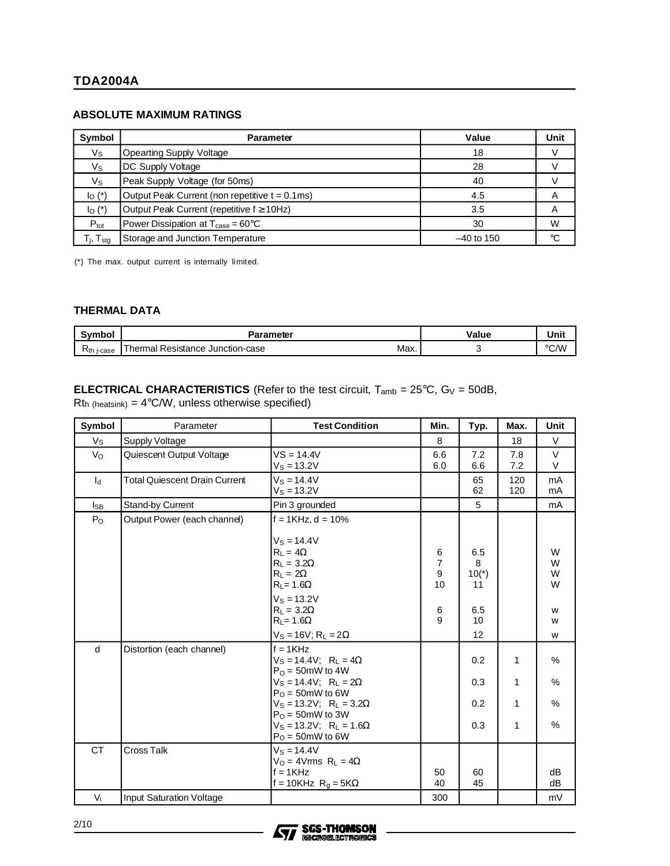## **ABSOLUTE MAXIMUM RATINGS**

| Symbol                                               | <b>Parameter</b>                                     | Value        | Unit |
|------------------------------------------------------|------------------------------------------------------|--------------|------|
| $V_{\rm S}$                                          | <b>Opearting Supply Voltage</b>                      | 18           |      |
| $V_{\rm S}$                                          | DC Supply Voltage                                    | 28           |      |
| $V_{\rm S}$                                          | Peak Supply Voltage (for 50ms)                       | 40           |      |
| $I_{\text{O}}$ (*)                                   | Output Peak Current (non repetitive t = 0.1ms)       | 4.5          | A    |
| $I_{\text{O}}$ (*)                                   | Output Peak Current (repetitive f ≥ 10Hz)            | 3.5          | A    |
| $P_{\text{tot}}$                                     | Power Dissipation at $T_{\text{case}} = 60^{\circ}C$ | 30           | W    |
| $\mathsf{T}_{\mathsf{j}}, \mathsf{T}_{\mathsf{stg}}$ | Storage and Junction Temperature                     | $-40$ to 150 | ℃    |

(\*) The max. output current is internally limited.

### **THERMAL DATA**

| Symbol             | Parameter                                                            | /alue | Unit           |
|--------------------|----------------------------------------------------------------------|-------|----------------|
| $R_{th}$<br>j-case | $\overline{\phantom{a}}$<br>fhermal Resistance Junction-case<br>Max. |       | $^{\circ}$ C/W |

## **ELECTRICAL CHARACTERISTICS** (Refer to the test circuit,  $T_{amb} = 25^{\circ}C$ ,  $G_V = 50dB$ ,  $Rt<sub>h</sub>$  (heatsink) = 4°C/W, unless otherwise specified)

| Symbol          | Parameter                            | <b>Test Condition</b>                                                                                                                                                                                                                                                            | Min.                                                    | Typ.                                         | Max.                        | Unit                            |
|-----------------|--------------------------------------|----------------------------------------------------------------------------------------------------------------------------------------------------------------------------------------------------------------------------------------------------------------------------------|---------------------------------------------------------|----------------------------------------------|-----------------------------|---------------------------------|
| Vs              | Supply Voltage                       |                                                                                                                                                                                                                                                                                  | 8                                                       |                                              | 18                          | V                               |
| $V_{\rm O}$     | Quiescent Output Voltage             | $VS = 14.4V$<br>$V_S = 13.2V$                                                                                                                                                                                                                                                    | 6.6<br>6.0                                              | 7.2<br>6.6                                   | 7.8<br>7.2                  | V<br>V                          |
| $I_d$           | <b>Total Quiescent Drain Current</b> | $V_S = 14.4V$<br>$V_S = 13.2V$                                                                                                                                                                                                                                                   |                                                         | 65<br>62                                     | 120<br>120                  | mA<br>mA                        |
| $I_{\text{SB}}$ | Stand-by Current                     | Pin 3 grounded                                                                                                                                                                                                                                                                   |                                                         | 5                                            |                             | mA                              |
| $P_{O}$         | Output Power (each channel)          | $f = 1$ KHz, $d = 10%$<br>$V_S = 14.4V$<br>$R_L = 4\Omega$<br>$R_1 = 3.2\Omega$<br>$R_L = 2\Omega$<br>$R_L = 1.6\Omega$<br>$V_S = 13.2V$<br>$R_1 = 3.2\Omega$<br>$R_L = 1.6\Omega$<br>$V_S = 16V$ ; R <sub>L</sub> = 2 $\Omega$                                                  | 6<br>$\overline{7}$<br>$\boldsymbol{9}$<br>10<br>6<br>9 | 6.5<br>8<br>$10(*)$<br>11<br>6.5<br>10<br>12 |                             | W<br>W<br>W<br>W<br>W<br>W<br>W |
| d               | Distortion (each channel)            | $f = 1KHz$<br>$Vs = 14.4V$ ; $R_L = 4\Omega$<br>$P_{\Omega}$ = 50mW to 4W<br>$V_S = 14.4V$ ; R <sub>L</sub> = 2 $\Omega$<br>$PO = 50$ mW to 6W<br>$V_S = 13.2V$ ; R <sub>L</sub> = $3.2\Omega$<br>$PO = 50$ mW to 3W<br>$V_S = 13.2V$ ; $R_L = 1.6\Omega$<br>$P_O = 50$ mW to 6W |                                                         | 0.2<br>0.3<br>0.2<br>0.3                     | 1<br>1<br>1<br>$\mathbf{1}$ | %<br>$\%$<br>%<br>%             |
| <b>CT</b>       | <b>Cross Talk</b>                    | $V_S = 14.4V$<br>$V_O = 4V$ rms $R_L = 4\Omega$<br>$f = 1KHz$<br>f = 10KHz $R_q = 5K\Omega$                                                                                                                                                                                      | 50<br>40                                                | 60<br>45                                     |                             | dB<br>dB                        |
| $V_i$           | <b>Input Saturation Voltage</b>      |                                                                                                                                                                                                                                                                                  | 300                                                     |                                              |                             | mV                              |

**SGS-THOMSON MICROELECTROMICS** 



2/10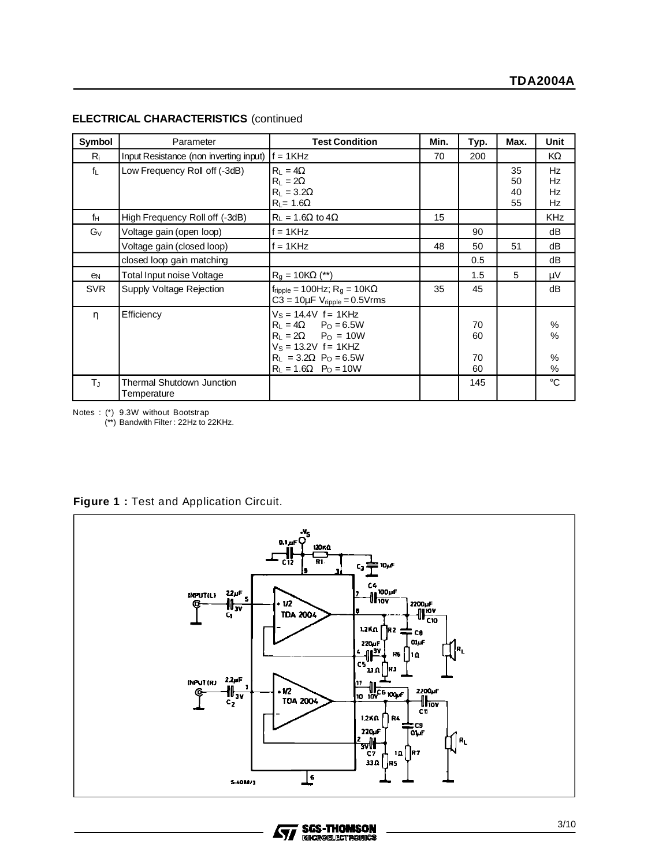| Symbol          | Parameter                                | <b>Test Condition</b>                                                                                                                                                                       | Min. | Typ.                 | Max.                 | Unit                            |
|-----------------|------------------------------------------|---------------------------------------------------------------------------------------------------------------------------------------------------------------------------------------------|------|----------------------|----------------------|---------------------------------|
| Ri              | Input Resistance (non inverting input)   | $f = 1$ KHz                                                                                                                                                                                 | 70   | 200                  |                      | KΩ                              |
| $f_{\parallel}$ | Low Frequency Roll off (-3dB)            | $R_1 = 4\Omega$<br>$R_1 = 2\Omega$<br>$R_1 = 3.2\Omega$<br>$R_L = 1.6\Omega$                                                                                                                |      |                      | 35<br>50<br>40<br>55 | <b>Hz</b><br>Hz<br>Hz<br>Hz     |
| f <sub>H</sub>  | High Frequency Roll off (-3dB)           | $R_L = 1.6\Omega$ to $4\Omega$                                                                                                                                                              | 15   |                      |                      | <b>KHz</b>                      |
| $G_V$           | Voltage gain (open loop)                 | $f = 1KHz$                                                                                                                                                                                  |      | 90                   |                      | dB                              |
|                 | Voltage gain (closed loop)               | $f = 1$ KHz                                                                                                                                                                                 | 48   | 50                   | 51                   | dB                              |
|                 | closed loop gain matching                |                                                                                                                                                                                             |      | 0.5                  |                      | dB                              |
| en              | Total Input noise Voltage                | $R_0 = 10K\Omega$ (**)                                                                                                                                                                      |      | 1.5                  | 5                    | μV                              |
| <b>SVR</b>      | Supply Voltage Rejection                 | $f_{\text{ripple}} = 100 \text{Hz}$ ; R <sub>g</sub> = $10 \text{K}\Omega$<br>$C3 = 10 \mu F V_{\text{ripple}} = 0.5 V$ rms                                                                 | 35   | 45                   |                      | dB                              |
| η               | Efficiency                               | $V_S = 14.4V$ f = 1KHz<br>$R_1 = 4\Omega$ $P_0 = 6.5W$<br>$R_L = 2\Omega$ $P_O = 10W$<br>$V_S = 13.2V$ f = 1KHZ<br>$R_L = 3.2\Omega$ P <sub>O</sub> = 6.5W<br>$R_L = 1.6\Omega$ $P_O = 10W$ |      | 70<br>60<br>70<br>60 |                      | %<br>$\frac{0}{0}$<br>$\%$<br>% |
| Tu.             | Thermal Shutdown Junction<br>Temperature |                                                                                                                                                                                             |      | 145                  |                      | $^{\circ}C$                     |

### **ELECTRICAL CHARACTERISTICS** (continued

Notes : (\*) 9.3W without Bootstrap

(\*\*) Bandwith Filter : 22Hz to 22KHz.

|  |  |  | Figure 1: Test and Application Circuit. |  |
|--|--|--|-----------------------------------------|--|
|  |  |  |                                         |  |



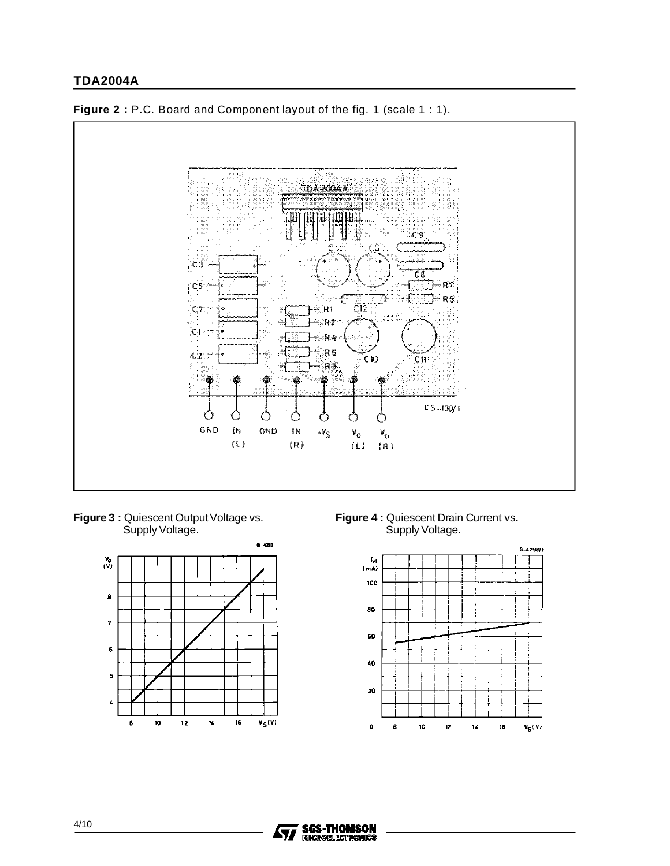

**Figure 2** : P.C. Board and Component layout of the fig. 1 (scale 1 : 1).

**Figure 3 :** Quiescent Output Voltage vs. Supply Voltage.



**Figure 4 :** Quiescent Drain Current vs. Supply Voltage.



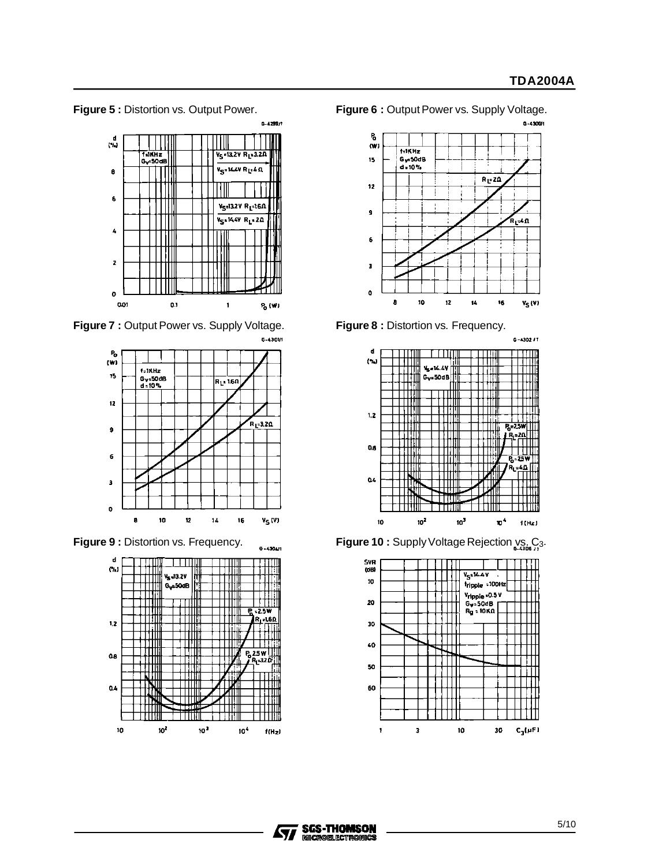**Figure 5 :** Distortion vs. Output Power. **Figure 6 :** Output Power vs. Supply Voltage.



**Figure 7 :** Output Power vs. Supply Voltage. **Figure 8 :** Distortion vs. Frequency.











**Figure 9 :** Distortion vs. Frequency.  $\frac{1}{6}$  -4304n **Figure 10 :** Supply Voltage Rejection  $\frac{1}{6}$  C<sub>3</sub>.



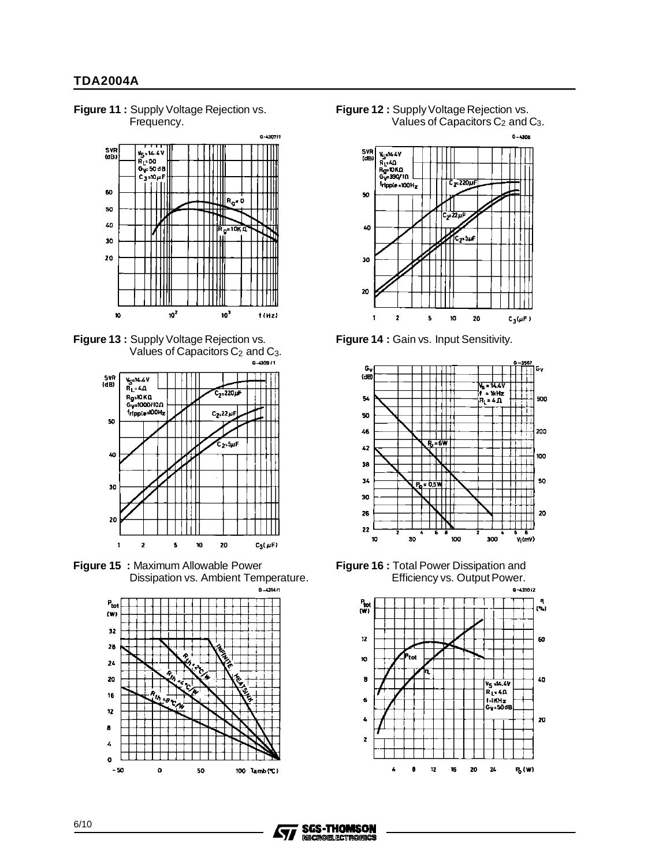**Figure 11 :** Supply Voltage Rejection vs. Frequency.







**Figure 15 :** Maximum Allowable Power Dissipation vs. Ambient Temperature.







**Figure 14 :** Gain vs. Input Sensitivity.



**Figure 16 :** Total Power Dissipation and Efficiency vs. Output Power.<br>
<sub>6-430/2</sub>



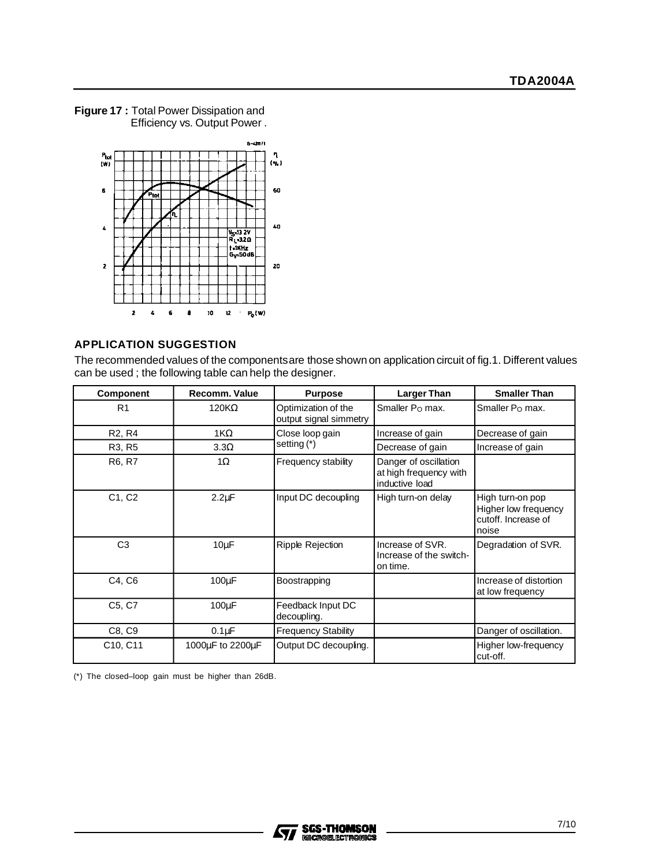

**Figure 17 :** Total Power Dissipation and Efficiency vs. Output Power .

## **APPLICATION SUGGESTION**

The recommended values of the componentsare those shown on application circuit of fig.1. Different values can be used ; the following table can help the designer.

| <b>Component</b>                  | <b>Recomm. Value</b> | <b>Purpose</b>                                | <b>Larger Than</b>                                                | <b>Smaller Than</b>                                                       |
|-----------------------------------|----------------------|-----------------------------------------------|-------------------------------------------------------------------|---------------------------------------------------------------------------|
| R <sub>1</sub>                    | $120K\Omega$         | Optimization of the<br>output signal simmetry | Smaller $Po$ max.                                                 | Smaller P <sub>O</sub> max.                                               |
| R <sub>2</sub> , R <sub>4</sub>   | $1K\Omega$           | Close loop gain                               | Increase of gain                                                  | Decrease of gain                                                          |
| R <sub>3</sub> , R <sub>5</sub>   | $3.3\Omega$          | setting (*)                                   | Decrease of gain                                                  | Increase of gain                                                          |
| R6, R7                            | $1\Omega$            | Frequency stability                           | Danger of oscillation<br>at high frequency with<br>inductive load |                                                                           |
| C <sub>1</sub> , C <sub>2</sub>   | $2.2 \mu F$          | Input DC decoupling                           | High turn-on delay                                                | High turn-on pop<br>Higher low frequency<br>cutoff. Increase of<br>Inoise |
| C <sub>3</sub>                    | $10\mu F$            | Ripple Rejection                              | Increase of SVR.<br>Increase of the switch-<br>on time.           | Degradation of SVR.                                                       |
| C4, C6                            | 100µF                | Boostrapping                                  |                                                                   | Increase of distortion<br>at low frequency                                |
| C <sub>5</sub> , C <sub>7</sub>   | $100\mu F$           | Feedback Input DC<br>decoupling.              |                                                                   |                                                                           |
| C8, C9                            | 0.1 <sub>u</sub> F   | <b>Frequency Stability</b>                    |                                                                   | Danger of oscillation.                                                    |
| C <sub>10</sub> , C <sub>11</sub> | 1000µF to 2200µF     | Output DC decoupling.                         |                                                                   | Higher low-frequency<br>cut-off.                                          |

(\*) The closed–loop gain must be higher than 26dB.

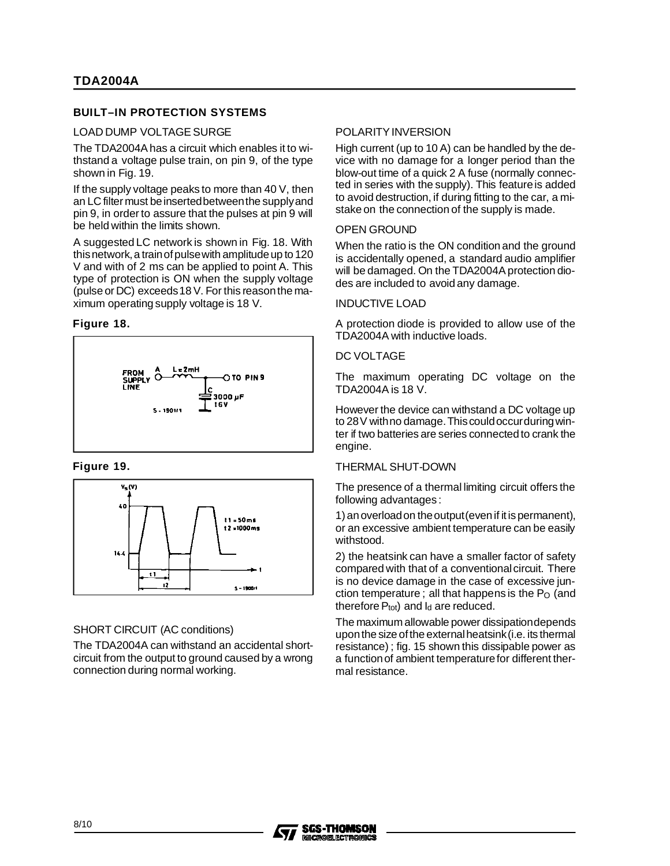## **BUILT–IN PROTECTION SYSTEMS**

#### LOAD DUMP VOLTAGE SURGE

The TDA2004A has a circuit which enables it to withstand a voltage pulse train, on pin 9, of the type shown in Fig. 19.

If the supply voltage peaks to more than 40 V, then an LC filter must be inserted between the supply and pin 9, in order to assure that the pulses at pin 9 will be held within the limits shown.

A suggested LC network is shown in Fig. 18. With this network, a train of pulse with amplitude up to 120 V and with of 2 ms can be applied to point A. This type of protection is ON when the supply voltage (pulse or DC) exceeds18 V. For this reasonthe maximum operating supply voltage is 18 V.

### **Figure 18.**



### **Figure 19.**



## SHORT CIRCUIT (AC conditions)

The TDA2004A can withstand an accidental shortcircuit from the output to ground caused by a wrong connection during normal working.

## POLARITY INVERSION

High current (up to 10 A) can be handled by the device with no damage for a longer period than the blow-out time of a quick 2 A fuse (normally connected in series with the supply). This featureis added to avoid destruction, if during fitting to the car, a mistake on the connection of the supply is made.

### OPEN GROUND

When the ratio is the ON condition and the ground is accidentally opened, a standard audio amplifier will be damaged. On the TDA2004A protection diodes are included to avoid any damage.

## INDUCTIVE LOAD

A protection diode is provided to allow use of the TDA2004A with inductive loads.

## DC VOLTAGE

The maximum operating DC voltage on the TDA2004A is 18 V.

However the device can withstand a DC voltage up to 28V withno damage.Thiscouldoccurduringwinter if two batteries are series connected to crank the engine.

### THERMAL SHUT-DOWN

The presence of a thermal limiting circuit offers the following advantages:

1) an overload on the output (even if it is permanent), or an excessive ambient temperature can be easily withstood.

2) the heatsink can have a smaller factor of safety compared with that of a conventionalcircuit. There is no device damage in the case of excessive junction temperature; all that happens is the  $P<sub>O</sub>$  (and therefore  $P_{tot}$ ) and  $I_d$  are reduced.

The maximum allowable power dissipationdepends upon the size of the external heatsink (i.e. its thermal resistance) ; fig. 15 shown this dissipable power as a functionof ambient temperaturefor different thermal resistance.

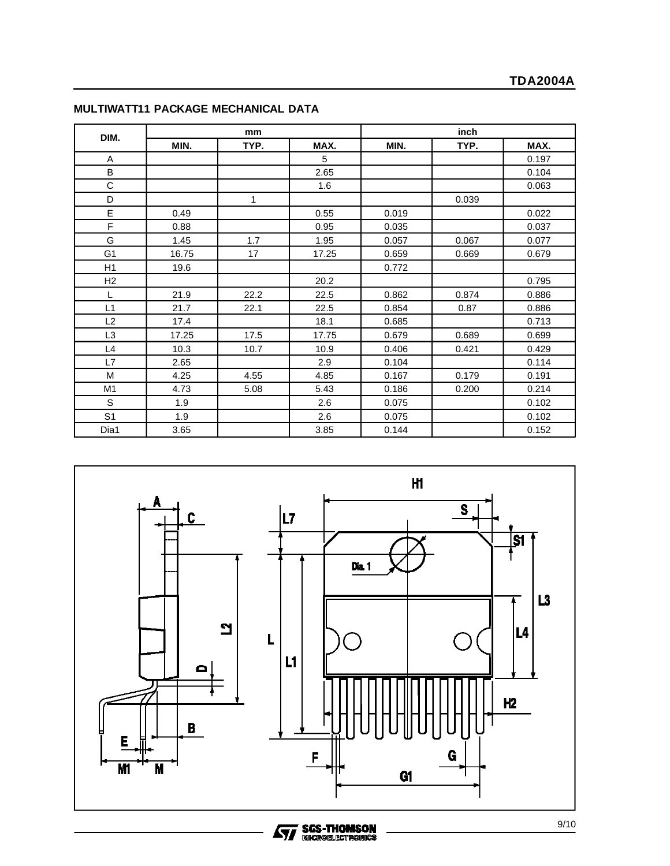|                |       | mm   |       | inch  |       |       |  |
|----------------|-------|------|-------|-------|-------|-------|--|
| DIM.           | MIN.  | TYP. | MAX.  | MIN.  | TYP.  | MAX.  |  |
| Α              |       |      | 5     |       |       | 0.197 |  |
| B              |       |      | 2.65  |       |       | 0.104 |  |
| C              |       |      | 1.6   |       |       | 0.063 |  |
| D              |       | 1    |       |       | 0.039 |       |  |
| E              | 0.49  |      | 0.55  | 0.019 |       | 0.022 |  |
| F              | 0.88  |      | 0.95  | 0.035 |       | 0.037 |  |
| G              | 1.45  | 1.7  | 1.95  | 0.057 | 0.067 | 0.077 |  |
| G <sub>1</sub> | 16.75 | 17   | 17.25 | 0.659 | 0.669 | 0.679 |  |
| H1             | 19.6  |      |       | 0.772 |       |       |  |
| H <sub>2</sub> |       |      | 20.2  |       |       | 0.795 |  |
| L              | 21.9  | 22.2 | 22.5  | 0.862 | 0.874 | 0.886 |  |
| L1             | 21.7  | 22.1 | 22.5  | 0.854 | 0.87  | 0.886 |  |
| L2             | 17.4  |      | 18.1  | 0.685 |       | 0.713 |  |
| L3             | 17.25 | 17.5 | 17.75 | 0.679 | 0.689 | 0.699 |  |
| L4             | 10.3  | 10.7 | 10.9  | 0.406 | 0.421 | 0.429 |  |
| L7             | 2.65  |      | 2.9   | 0.104 |       | 0.114 |  |
| M              | 4.25  | 4.55 | 4.85  | 0.167 | 0.179 | 0.191 |  |
| M <sub>1</sub> | 4.73  | 5.08 | 5.43  | 0.186 | 0.200 | 0.214 |  |
| S              | 1.9   |      | 2.6   | 0.075 |       | 0.102 |  |
| S <sub>1</sub> | 1.9   |      | 2.6   | 0.075 |       | 0.102 |  |
| Dia1           | 3.65  |      | 3.85  | 0.144 |       | 0.152 |  |